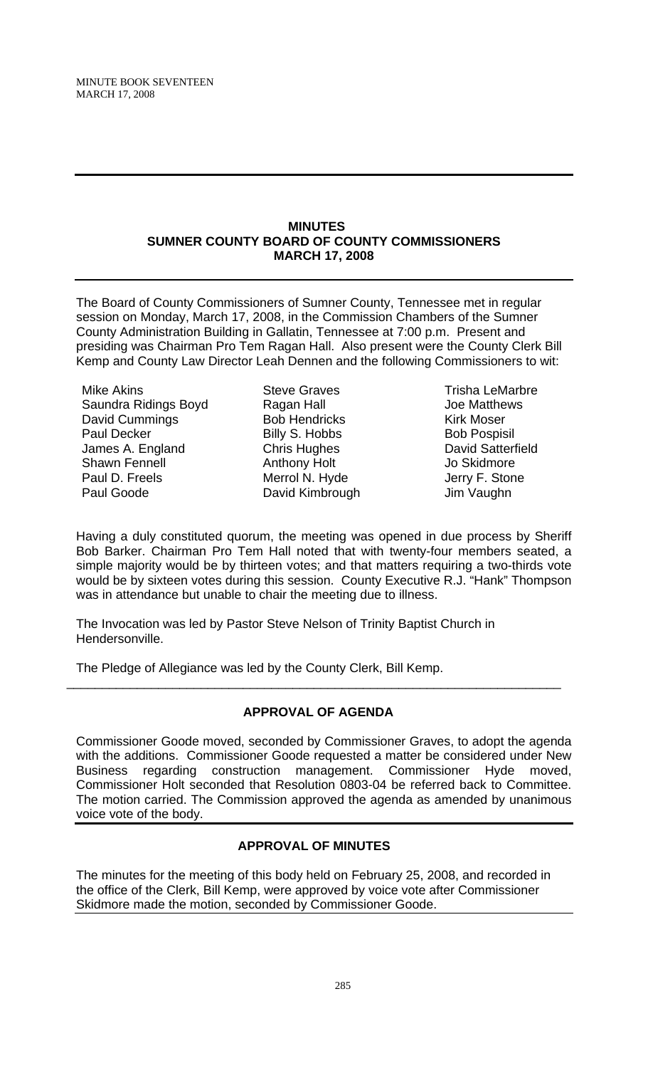#### **MINUTES SUMNER COUNTY BOARD OF COUNTY COMMISSIONERS MARCH 17, 2008**

The Board of County Commissioners of Sumner County, Tennessee met in regular session on Monday, March 17, 2008, in the Commission Chambers of the Sumner County Administration Building in Gallatin, Tennessee at 7:00 p.m. Present and presiding was Chairman Pro Tem Ragan Hall. Also present were the County Clerk Bill Kemp and County Law Director Leah Dennen and the following Commissioners to wit:

Mike Akins Saundra Ridings Boyd David Cummings Paul Decker James A. England Shawn Fennell Paul D. Freels Paul Goode

Steve Graves Ragan Hall Bob Hendricks Billy S. Hobbs Chris Hughes Anthony Holt Merrol N. Hyde David Kimbrough

Trisha LeMarbre Joe Matthews Kirk Moser Bob Pospisil David Satterfield Jo Skidmore Jerry F. Stone Jim Vaughn

Having a duly constituted quorum, the meeting was opened in due process by Sheriff Bob Barker. Chairman Pro Tem Hall noted that with twenty-four members seated, a simple majority would be by thirteen votes; and that matters requiring a two-thirds vote would be by sixteen votes during this session. County Executive R.J. "Hank" Thompson was in attendance but unable to chair the meeting due to illness.

The Invocation was led by Pastor Steve Nelson of Trinity Baptist Church in Hendersonville.

The Pledge of Allegiance was led by the County Clerk, Bill Kemp.

# **APPROVAL OF AGENDA**

\_\_\_\_\_\_\_\_\_\_\_\_\_\_\_\_\_\_\_\_\_\_\_\_\_\_\_\_\_\_\_\_\_\_\_\_\_\_\_\_\_\_\_\_\_\_\_\_\_\_\_\_\_\_\_\_\_\_\_\_\_\_\_\_\_\_\_\_\_\_

Commissioner Goode moved, seconded by Commissioner Graves, to adopt the agenda with the additions. Commissioner Goode requested a matter be considered under New Business regarding construction management. Commissioner Hyde moved, Commissioner Holt seconded that Resolution 0803-04 be referred back to Committee. The motion carried. The Commission approved the agenda as amended by unanimous voice vote of the body.

# **APPROVAL OF MINUTES**

The minutes for the meeting of this body held on February 25, 2008, and recorded in the office of the Clerk, Bill Kemp, were approved by voice vote after Commissioner Skidmore made the motion, seconded by Commissioner Goode.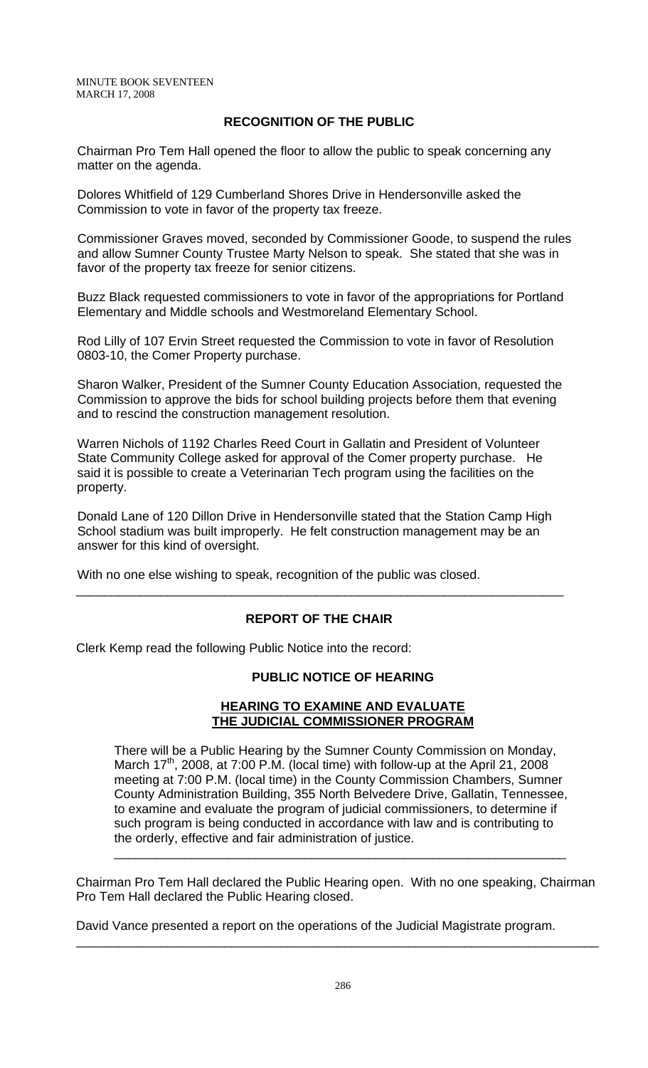## **RECOGNITION OF THE PUBLIC**

 Chairman Pro Tem Hall opened the floor to allow the public to speak concerning any matter on the agenda.

 Dolores Whitfield of 129 Cumberland Shores Drive in Hendersonville asked the Commission to vote in favor of the property tax freeze.

 Commissioner Graves moved, seconded by Commissioner Goode, to suspend the rules and allow Sumner County Trustee Marty Nelson to speak. She stated that she was in favor of the property tax freeze for senior citizens.

 Buzz Black requested commissioners to vote in favor of the appropriations for Portland Elementary and Middle schools and Westmoreland Elementary School.

 Rod Lilly of 107 Ervin Street requested the Commission to vote in favor of Resolution 0803-10, the Comer Property purchase.

 Sharon Walker, President of the Sumner County Education Association, requested the Commission to approve the bids for school building projects before them that evening and to rescind the construction management resolution.

 Warren Nichols of 1192 Charles Reed Court in Gallatin and President of Volunteer State Community College asked for approval of the Comer property purchase. He said it is possible to create a Veterinarian Tech program using the facilities on the property.

 Donald Lane of 120 Dillon Drive in Hendersonville stated that the Station Camp High School stadium was built improperly. He felt construction management may be an answer for this kind of oversight.

With no one else wishing to speak, recognition of the public was closed.

# **REPORT OF THE CHAIR**

\_\_\_\_\_\_\_\_\_\_\_\_\_\_\_\_\_\_\_\_\_\_\_\_\_\_\_\_\_\_\_\_\_\_\_\_\_\_\_\_\_\_\_\_\_\_\_\_\_\_\_\_\_\_\_\_\_\_\_\_\_\_\_\_\_\_\_\_\_

Clerk Kemp read the following Public Notice into the record:

#### **PUBLIC NOTICE OF HEARING**

# **HEARING TO EXAMINE AND EVALUATE THE JUDICIAL COMMISSIONER PROGRAM**

There will be a Public Hearing by the Sumner County Commission on Monday, March  $17<sup>th</sup>$ , 2008, at 7:00 P.M. (local time) with follow-up at the April 21, 2008 meeting at 7:00 P.M. (local time) in the County Commission Chambers, Sumner County Administration Building, 355 North Belvedere Drive, Gallatin, Tennessee, to examine and evaluate the program of judicial commissioners, to determine if such program is being conducted in accordance with law and is contributing to the orderly, effective and fair administration of justice.

\_\_\_\_\_\_\_\_\_\_\_\_\_\_\_\_\_\_\_\_\_\_\_\_\_\_\_\_\_\_\_\_\_\_\_\_\_\_\_\_\_\_\_\_\_\_\_\_\_\_\_\_\_\_\_\_\_\_\_\_\_\_\_\_

Chairman Pro Tem Hall declared the Public Hearing open. With no one speaking, Chairman Pro Tem Hall declared the Public Hearing closed.

\_\_\_\_\_\_\_\_\_\_\_\_\_\_\_\_\_\_\_\_\_\_\_\_\_\_\_\_\_\_\_\_\_\_\_\_\_\_\_\_\_\_\_\_\_\_\_\_\_\_\_\_\_\_\_\_\_\_\_\_\_\_\_\_\_\_\_\_\_\_\_\_\_\_

David Vance presented a report on the operations of the Judicial Magistrate program.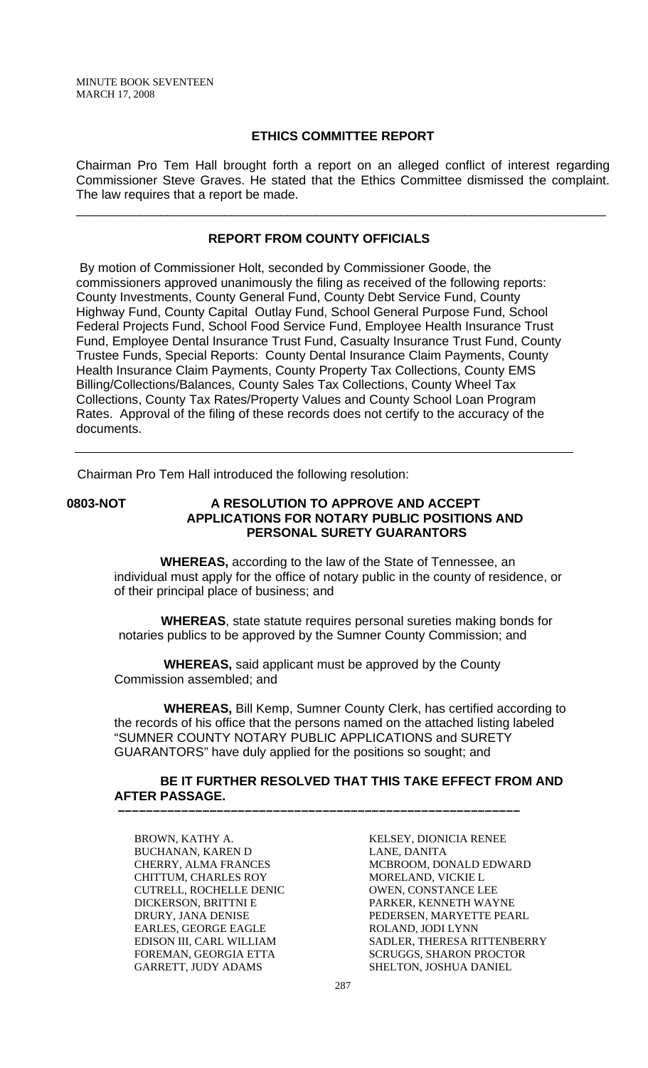#### **ETHICS COMMITTEE REPORT**

Chairman Pro Tem Hall brought forth a report on an alleged conflict of interest regarding Commissioner Steve Graves. He stated that the Ethics Committee dismissed the complaint. The law requires that a report be made.

\_\_\_\_\_\_\_\_\_\_\_\_\_\_\_\_\_\_\_\_\_\_\_\_\_\_\_\_\_\_\_\_\_\_\_\_\_\_\_\_\_\_\_\_\_\_\_\_\_\_\_\_\_\_\_\_\_\_\_\_\_\_\_\_\_\_\_\_\_\_\_\_\_\_\_

## **REPORT FROM COUNTY OFFICIALS**

 By motion of Commissioner Holt, seconded by Commissioner Goode, the commissioners approved unanimously the filing as received of the following reports: County Investments, County General Fund, County Debt Service Fund, County Highway Fund, County Capital Outlay Fund, School General Purpose Fund, School Federal Projects Fund, School Food Service Fund, Employee Health Insurance Trust Fund, Employee Dental Insurance Trust Fund, Casualty Insurance Trust Fund, County Trustee Funds, Special Reports: County Dental Insurance Claim Payments, County Health Insurance Claim Payments, County Property Tax Collections, County EMS Billing/Collections/Balances, County Sales Tax Collections, County Wheel Tax Collections, County Tax Rates/Property Values and County School Loan Program Rates. Approval of the filing of these records does not certify to the accuracy of the documents.

Chairman Pro Tem Hall introduced the following resolution:

# **0803-NOT A RESOLUTION TO APPROVE AND ACCEPT APPLICATIONS FOR NOTARY PUBLIC POSITIONS AND PERSONAL SURETY GUARANTORS**

 **WHEREAS,** according to the law of the State of Tennessee, an individual must apply for the office of notary public in the county of residence, or of their principal place of business; and

 **WHEREAS**, state statute requires personal sureties making bonds for notaries publics to be approved by the Sumner County Commission; and

 **WHEREAS,** said applicant must be approved by the County Commission assembled; and

 **–––––––––––––––––––––––––––––––––––––––––––––––––––––––––**

 **WHEREAS,** Bill Kemp, Sumner County Clerk, has certified according to the records of his office that the persons named on the attached listing labeled "SUMNER COUNTY NOTARY PUBLIC APPLICATIONS and SURETY GUARANTORS" have duly applied for the positions so sought; and

# **BE IT FURTHER RESOLVED THAT THIS TAKE EFFECT FROM AND AFTER PASSAGE.**

BROWN, KATHY A. BUCHANAN, KAREN D CHERRY, ALMA FRANCES CHITTUM, CHARLES ROY CUTRELL, ROCHELLE DENIC DICKERSON, BRITTNI E DRURY, JANA DENISE EARLES, GEORGE EAGLE EDISON III, CARL WILLIAM FOREMAN, GEORGIA ETTA GARRETT, JUDY ADAMS

KELSEY, DIONICIA RENEE LANE, DANITA MCBROOM, DONALD EDWARD MORELAND, VICKIE L OWEN, CONSTANCE LEE PARKER, KENNETH WAYNE PEDERSEN, MARYETTE PEARL ROLAND, JODI LYNN SADLER, THERESA RITTENBERRY SCRUGGS, SHARON PROCTOR SHELTON, JOSHUA DANIEL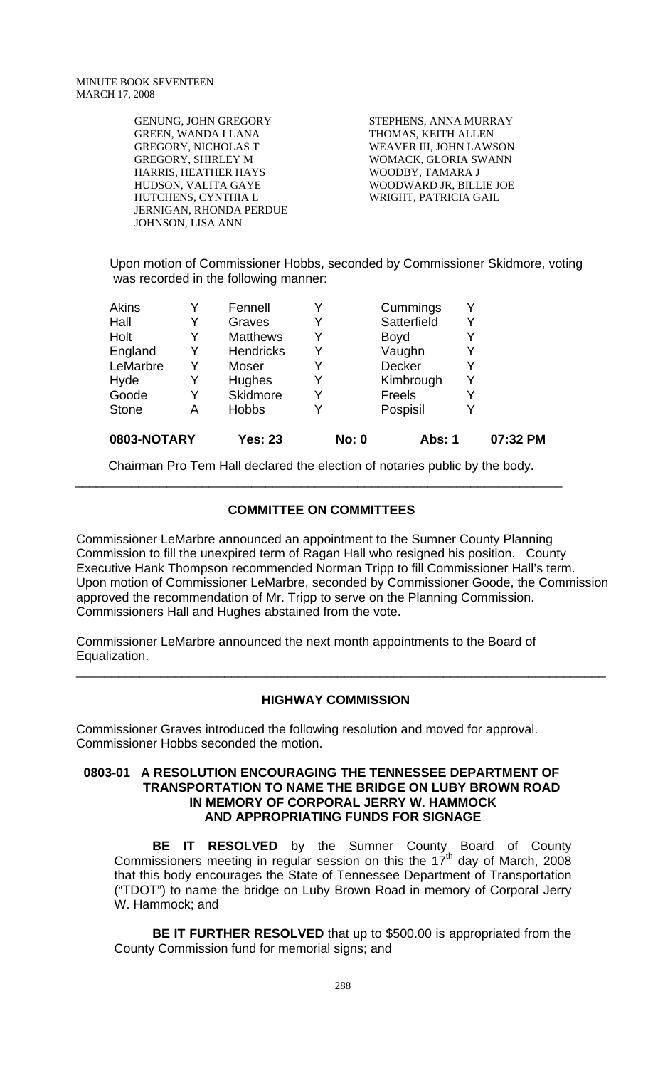GENUNG, JOHN GREGORY GREEN, WANDA LLANA GREGORY, NICHOLAS T GREGORY, SHIRLEY M HARRIS, HEATHER HAYS HUDSON, VALITA GAYE HUTCHENS, CYNTHIA L JERNIGAN, RHONDA PERDUE JOHNSON, LISA ANN

STEPHENS, ANNA MURRAY THOMAS, KEITH ALLEN WEAVER III, JOHN LAWSON WOMACK, GLORIA SWANN WOODBY, TAMARA J WOODWARD JR, BILLIE JOE WRIGHT, PATRICIA GAIL

Upon motion of Commissioner Hobbs, seconded by Commissioner Skidmore, voting was recorded in the following manner:

| 0803-NOTARY  |   | <b>Yes: 23</b>   |   | <b>No: 0</b> | <b>Abs: 1</b> |   | 07:32 PM |
|--------------|---|------------------|---|--------------|---------------|---|----------|
| <b>Stone</b> | Α | <b>Hobbs</b>     |   |              | Pospisil      | Y |          |
| Goode        | Y | Skidmore         |   |              | Freels        | Y |          |
| Hyde         | Y | Hughes           | Y |              | Kimbrough     | Y |          |
| LeMarbre     | Y | Moser            | Y |              | <b>Decker</b> | Y |          |
| England      | Y | <b>Hendricks</b> |   |              | Vaughn        | Y |          |
| Holt         | Y | <b>Matthews</b>  | Y |              | <b>Boyd</b>   | Y |          |
| Hall         | Y | Graves           |   |              | Satterfield   | Y |          |
| <b>Akins</b> |   | Fennell          |   |              | Cummings      | Y |          |

 Chairman Pro Tem Hall declared the election of notaries public by the body. \_\_\_\_\_\_\_\_\_\_\_\_\_\_\_\_\_\_\_\_\_\_\_\_\_\_\_\_\_\_\_\_\_\_\_\_\_\_\_\_\_\_\_\_\_\_\_\_\_\_\_\_\_\_\_\_\_\_\_\_\_\_\_\_\_\_\_\_\_

# **COMMITTEE ON COMMITTEES**

Commissioner LeMarbre announced an appointment to the Sumner County Planning Commission to fill the unexpired term of Ragan Hall who resigned his position. County Executive Hank Thompson recommended Norman Tripp to fill Commissioner Hall's term. Upon motion of Commissioner LeMarbre, seconded by Commissioner Goode, the Commission approved the recommendation of Mr. Tripp to serve on the Planning Commission. Commissioners Hall and Hughes abstained from the vote.

Commissioner LeMarbre announced the next month appointments to the Board of Equalization.

#### **HIGHWAY COMMISSION**

\_\_\_\_\_\_\_\_\_\_\_\_\_\_\_\_\_\_\_\_\_\_\_\_\_\_\_\_\_\_\_\_\_\_\_\_\_\_\_\_\_\_\_\_\_\_\_\_\_\_\_\_\_\_\_\_\_\_\_\_\_\_\_\_\_\_\_\_\_\_\_\_\_\_\_

Commissioner Graves introduced the following resolution and moved for approval. Commissioner Hobbs seconded the motion.

#### **0803-01 A RESOLUTION ENCOURAGING THE TENNESSEE DEPARTMENT OF TRANSPORTATION TO NAME THE BRIDGE ON LUBY BROWN ROAD IN MEMORY OF CORPORAL JERRY W. HAMMOCK AND APPROPRIATING FUNDS FOR SIGNAGE**

**BE IT RESOLVED** by the Sumner County Board of County Commissioners meeting in regular session on this the  $17<sup>th</sup>$  day of March, 2008 that this body encourages the State of Tennessee Department of Transportation ("TDOT") to name the bridge on Luby Brown Road in memory of Corporal Jerry W. Hammock; and

**BE IT FURTHER RESOLVED** that up to \$500.00 is appropriated from the County Commission fund for memorial signs; and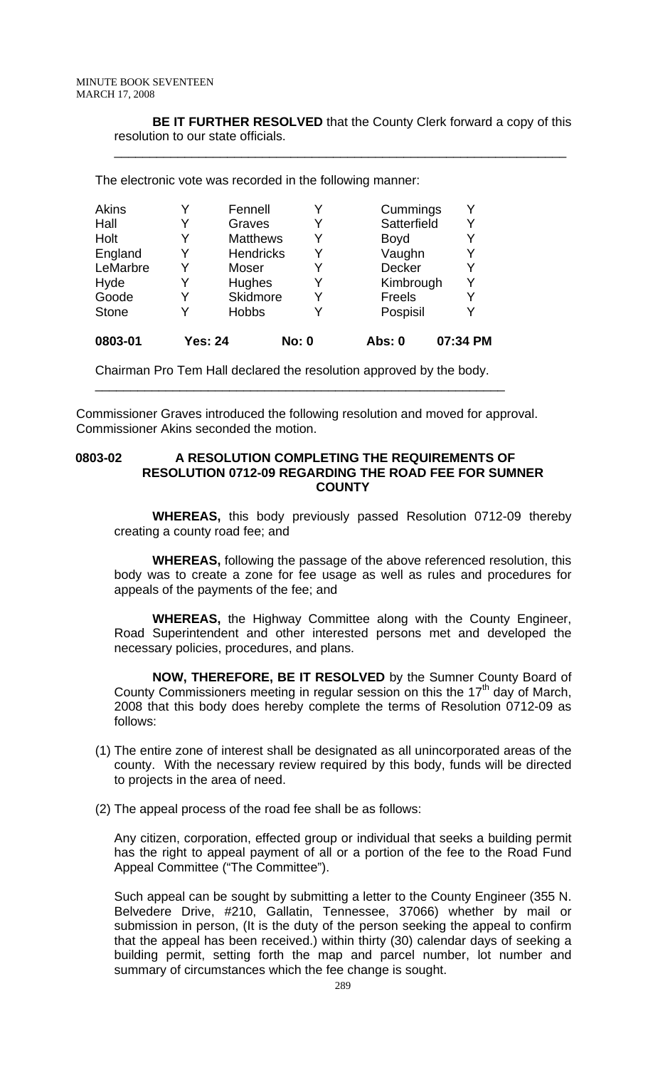**BE IT FURTHER RESOLVED** that the County Clerk forward a copy of this resolution to our state officials.

\_\_\_\_\_\_\_\_\_\_\_\_\_\_\_\_\_\_\_\_\_\_\_\_\_\_\_\_\_\_\_\_\_\_\_\_\_\_\_\_\_\_\_\_\_\_\_\_\_\_\_\_\_\_\_\_\_\_\_\_\_\_\_\_

| Y<br>Y<br>Kimbrough<br>Y<br>Y<br>Y |
|------------------------------------|
|                                    |
|                                    |
|                                    |
|                                    |
|                                    |
| Y                                  |
| Satterfield<br>Y                   |
| Y<br>Cummings                      |
|                                    |

Chairman Pro Tem Hall declared the resolution approved by the body.

\_\_\_\_\_\_\_\_\_\_\_\_\_\_\_\_\_\_\_\_\_\_\_\_\_\_\_\_\_\_\_\_\_\_\_\_\_\_\_\_\_\_\_\_\_\_\_\_\_\_\_\_\_\_\_\_\_\_

Commissioner Graves introduced the following resolution and moved for approval. Commissioner Akins seconded the motion.

#### **0803-02 A RESOLUTION COMPLETING THE REQUIREMENTS OF RESOLUTION 0712-09 REGARDING THE ROAD FEE FOR SUMNER COUNTY**

 **WHEREAS,** this body previously passed Resolution 0712-09 thereby creating a county road fee; and

**WHEREAS,** following the passage of the above referenced resolution, this body was to create a zone for fee usage as well as rules and procedures for appeals of the payments of the fee; and

 **WHEREAS,** the Highway Committee along with the County Engineer, Road Superintendent and other interested persons met and developed the necessary policies, procedures, and plans.

**NOW, THEREFORE, BE IT RESOLVED** by the Sumner County Board of County Commissioners meeting in regular session on this the  $17<sup>th</sup>$  day of March, 2008 that this body does hereby complete the terms of Resolution 0712-09 as follows:

- (1) The entire zone of interest shall be designated as all unincorporated areas of the county. With the necessary review required by this body, funds will be directed to projects in the area of need.
- (2) The appeal process of the road fee shall be as follows:

Any citizen, corporation, effected group or individual that seeks a building permit has the right to appeal payment of all or a portion of the fee to the Road Fund Appeal Committee ("The Committee").

Such appeal can be sought by submitting a letter to the County Engineer (355 N. Belvedere Drive, #210, Gallatin, Tennessee, 37066) whether by mail or submission in person, (It is the duty of the person seeking the appeal to confirm that the appeal has been received.) within thirty (30) calendar days of seeking a building permit, setting forth the map and parcel number, lot number and summary of circumstances which the fee change is sought.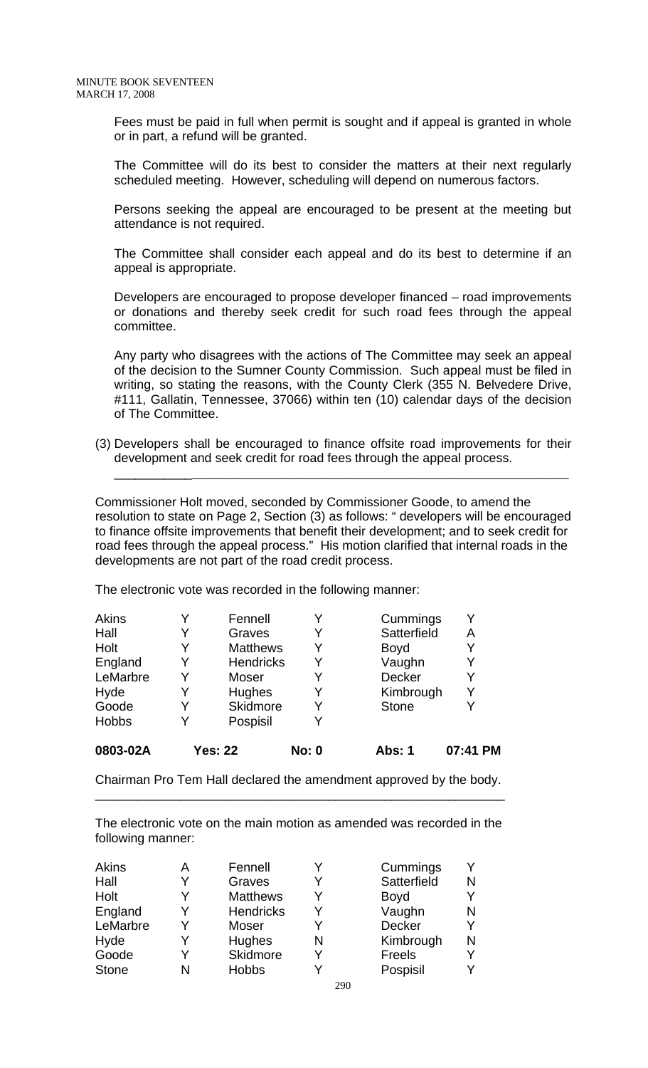Fees must be paid in full when permit is sought and if appeal is granted in whole or in part, a refund will be granted.

The Committee will do its best to consider the matters at their next regularly scheduled meeting. However, scheduling will depend on numerous factors.

Persons seeking the appeal are encouraged to be present at the meeting but attendance is not required.

The Committee shall consider each appeal and do its best to determine if an appeal is appropriate.

Developers are encouraged to propose developer financed – road improvements or donations and thereby seek credit for such road fees through the appeal committee.

Any party who disagrees with the actions of The Committee may seek an appeal of the decision to the Sumner County Commission. Such appeal must be filed in writing, so stating the reasons, with the County Clerk (355 N. Belvedere Drive, #111, Gallatin, Tennessee, 37066) within ten (10) calendar days of the decision of The Committee.

(3) Developers shall be encouraged to finance offsite road improvements for their development and seek credit for road fees through the appeal process.

\_\_\_\_\_\_\_\_\_\_\_\_\_\_\_\_\_\_\_\_\_\_\_\_\_\_\_\_\_\_\_\_\_\_\_\_\_\_\_\_\_\_\_\_\_\_\_\_\_\_\_\_\_\_\_\_\_\_\_\_\_\_\_\_\_\_\_\_\_\_\_\_\_\_\_

Commissioner Holt moved, seconded by Commissioner Goode, to amend the resolution to state on Page 2, Section (3) as follows: " developers will be encouraged to finance offsite improvements that benefit their development; and to seek credit for road fees through the appeal process." His motion clarified that internal roads in the developments are not part of the road credit process.

The electronic vote was recorded in the following manner:

| 0803-02A     |   | <b>Yes: 22</b>   | <b>No: 0</b> | <b>Abs: 1</b> | 07:41 PM |
|--------------|---|------------------|--------------|---------------|----------|
| <b>Hobbs</b> | Y | Pospisil         |              |               |          |
| Goode        | Y | Skidmore         | Y            | <b>Stone</b>  |          |
| Hyde         | Y | Hughes           | Y            | Kimbrough     | Y        |
| LeMarbre     | Y | Moser            |              | <b>Decker</b> |          |
| England      | Y | <b>Hendricks</b> | Y            | Vaughn        |          |
| Holt         | Y | <b>Matthews</b>  | Y            | <b>Boyd</b>   |          |
| Hall         | Y | Graves           | Y            | Satterfield   | Α        |
| <b>Akins</b> |   | Fennell          |              | Cummings      |          |

Chairman Pro Tem Hall declared the amendment approved by the body. \_\_\_\_\_\_\_\_\_\_\_\_\_\_\_\_\_\_\_\_\_\_\_\_\_\_\_\_\_\_\_\_\_\_\_\_\_\_\_\_\_\_\_\_\_\_\_\_\_\_\_\_\_\_\_\_\_\_

The electronic vote on the main motion as amended was recorded in the following manner:

| <b>Akins</b> | Α | Fennell          |   | Cummings    |   |
|--------------|---|------------------|---|-------------|---|
| Hall         | v | Graves           |   | Satterfield | N |
| Holt         |   | <b>Matthews</b>  |   | <b>Boyd</b> |   |
| England      | ∨ | <b>Hendricks</b> |   | Vaughn      | N |
| LeMarbre     | Y | Moser            |   | Decker      |   |
| Hyde         |   | Hughes           | N | Kimbrough   | N |
| Goode        | v | Skidmore         | v | Freels      |   |
| <b>Stone</b> | N | <b>Hobbs</b>     |   | Pospisil    |   |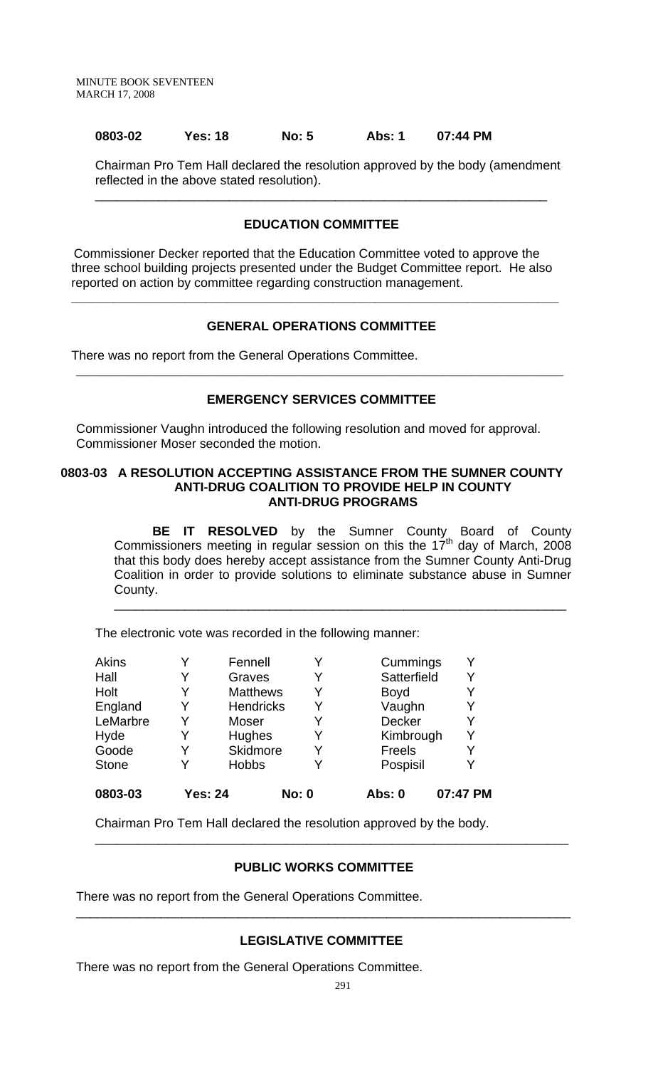#### **0803-02 Yes: 18 No: 5 Abs: 1 07:44 PM**

Chairman Pro Tem Hall declared the resolution approved by the body (amendment reflected in the above stated resolution).

#### **EDUCATION COMMITTEE**

\_\_\_\_\_\_\_\_\_\_\_\_\_\_\_\_\_\_\_\_\_\_\_\_\_\_\_\_\_\_\_\_\_\_\_\_\_\_\_\_\_\_\_\_\_\_\_\_\_\_\_\_\_\_\_\_\_\_\_\_\_\_\_\_

 Commissioner Decker reported that the Education Committee voted to approve the three school building projects presented under the Budget Committee report. He also reported on action by committee regarding construction management.

**\_\_\_\_\_\_\_\_\_\_\_\_\_\_\_\_\_\_\_\_\_\_\_\_\_\_\_\_\_\_\_\_\_\_\_\_\_\_\_\_\_\_\_\_\_\_\_\_\_\_\_\_\_\_\_\_\_\_\_\_\_\_\_\_\_\_\_\_\_**

#### **GENERAL OPERATIONS COMMITTEE**

There was no report from the General Operations Committee.

#### **EMERGENCY SERVICES COMMITTEE**

**\_\_\_\_\_\_\_\_\_\_\_\_\_\_\_\_\_\_\_\_\_\_\_\_\_\_\_\_\_\_\_\_\_\_\_\_\_\_\_\_\_\_\_\_\_\_\_\_\_\_\_\_\_\_\_\_\_\_\_\_\_\_\_\_\_\_\_\_\_** 

Commissioner Vaughn introduced the following resolution and moved for approval. Commissioner Moser seconded the motion.

#### **0803-03 A RESOLUTION ACCEPTING ASSISTANCE FROM THE SUMNER COUNTY ANTI-DRUG COALITION TO PROVIDE HELP IN COUNTY ANTI-DRUG PROGRAMS**

 **BE IT RESOLVED** by the Sumner County Board of County Commissioners meeting in regular session on this the 17<sup>th</sup> day of March, 2008 that this body does hereby accept assistance from the Sumner County Anti-Drug Coalition in order to provide solutions to eliminate substance abuse in Sumner County. \_\_\_\_\_\_\_\_\_\_\_\_\_\_\_\_\_\_\_\_\_\_\_\_\_\_\_\_\_\_\_\_\_\_\_\_\_\_\_\_\_\_\_\_\_\_\_\_\_\_\_\_\_\_\_\_\_\_\_\_\_\_\_\_

The electronic vote was recorded in the following manner:

| 0803-03      | <b>Yes: 24</b> |                  | <b>No: 0</b> | <b>Abs: 0</b> | 07:47 PM |
|--------------|----------------|------------------|--------------|---------------|----------|
| <b>Stone</b> | Y              | <b>Hobbs</b>     | Y            | Pospisil      | Y        |
| Goode        | Y              | Skidmore         | Y            | Freels        | Y        |
| Hyde         |                | Hughes           | Y            | Kimbrough     | Y        |
| LeMarbre     | Y              | Moser            | Y            | <b>Decker</b> | Y        |
| England      | Y              | <b>Hendricks</b> | Y            | Vaughn        | Y        |
| Holt         |                | <b>Matthews</b>  | Y            | <b>Boyd</b>   |          |
| Hall         |                | Graves           | Y            | Satterfield   | Y        |
| <b>Akins</b> | v              | Fennell          | Y            | Cummings      | Y        |

Chairman Pro Tem Hall declared the resolution approved by the body.

#### **PUBLIC WORKS COMMITTEE**

\_\_\_\_\_\_\_\_\_\_\_\_\_\_\_\_\_\_\_\_\_\_\_\_\_\_\_\_\_\_\_\_\_\_\_\_\_\_\_\_\_\_\_\_\_\_\_\_\_\_\_\_\_\_\_\_\_\_\_\_\_\_\_\_\_\_\_

There was no report from the General Operations Committee.

#### **LEGISLATIVE COMMITTEE**

\_\_\_\_\_\_\_\_\_\_\_\_\_\_\_\_\_\_\_\_\_\_\_\_\_\_\_\_\_\_\_\_\_\_\_\_\_\_\_\_\_\_\_\_\_\_\_\_\_\_\_\_\_\_\_\_\_\_\_\_\_\_\_\_\_\_\_\_\_\_

There was no report from the General Operations Committee.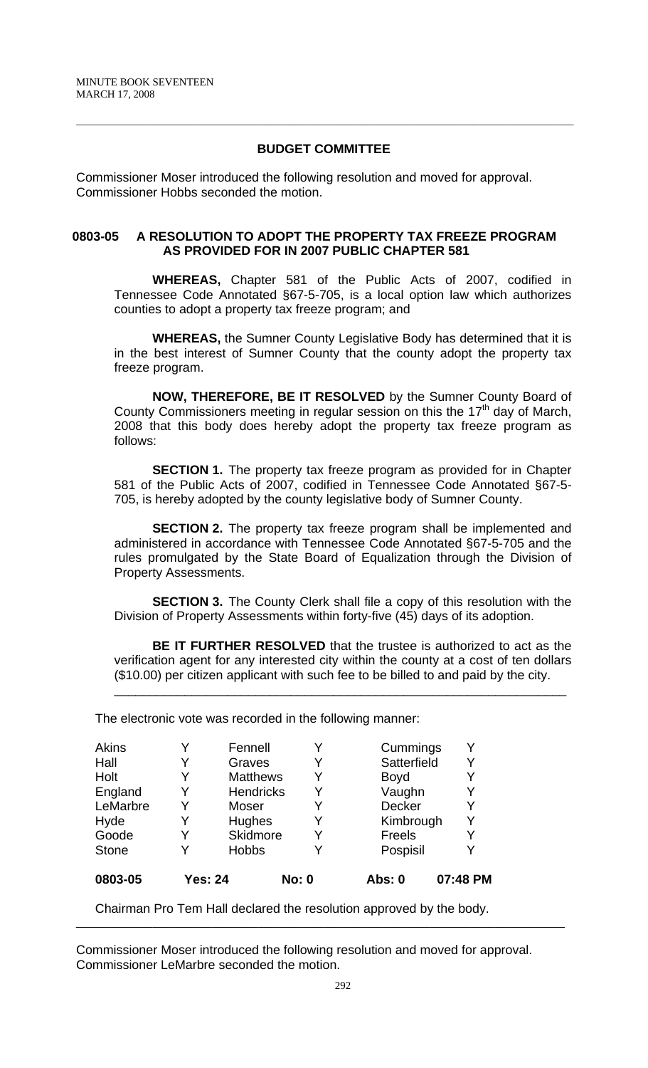## **BUDGET COMMITTEE**

 $\overline{a}$  , and the contribution of the contribution of the contribution of the contribution of the contribution of the contribution of the contribution of the contribution of the contribution of the contribution of the co

Commissioner Moser introduced the following resolution and moved for approval. Commissioner Hobbs seconded the motion.

## **0803-05 A RESOLUTION TO ADOPT THE PROPERTY TAX FREEZE PROGRAM AS PROVIDED FOR IN 2007 PUBLIC CHAPTER 581**

**WHEREAS,** Chapter 581 of the Public Acts of 2007, codified in Tennessee Code Annotated §67-5-705, is a local option law which authorizes counties to adopt a property tax freeze program; and

**WHEREAS,** the Sumner County Legislative Body has determined that it is in the best interest of Sumner County that the county adopt the property tax freeze program.

**NOW, THEREFORE, BE IT RESOLVED** by the Sumner County Board of County Commissioners meeting in regular session on this the 17<sup>th</sup> day of March, 2008 that this body does hereby adopt the property tax freeze program as follows:

**SECTION 1.** The property tax freeze program as provided for in Chapter 581 of the Public Acts of 2007, codified in Tennessee Code Annotated §67-5- 705, is hereby adopted by the county legislative body of Sumner County.

**SECTION 2.** The property tax freeze program shall be implemented and administered in accordance with Tennessee Code Annotated §67-5-705 and the rules promulgated by the State Board of Equalization through the Division of Property Assessments.

**SECTION 3.** The County Clerk shall file a copy of this resolution with the Division of Property Assessments within forty-five (45) days of its adoption.

**BE IT FURTHER RESOLVED** that the trustee is authorized to act as the verification agent for any interested city within the county at a cost of ten dollars (\$10.00) per citizen applicant with such fee to be billed to and paid by the city.

\_\_\_\_\_\_\_\_\_\_\_\_\_\_\_\_\_\_\_\_\_\_\_\_\_\_\_\_\_\_\_\_\_\_\_\_\_\_\_\_\_\_\_\_\_\_\_\_\_\_\_\_\_\_\_\_\_\_\_\_\_\_\_\_

The electronic vote was recorded in the following manner:

| 0803-05      | <b>Yes: 24</b> |                  | <b>No: 0</b> | Abs: 0        | 07:48 PM |
|--------------|----------------|------------------|--------------|---------------|----------|
| <b>Stone</b> |                | <b>Hobbs</b>     |              | Pospisil      | v        |
| Goode        | Y              | <b>Skidmore</b>  | Y            | Freels        | Y        |
| Hyde         |                | Hughes           | Y            | Kimbrough     | Y        |
| LeMarbre     | Y              | Moser            | Y            | <b>Decker</b> | Y        |
| England      | Y              | <b>Hendricks</b> | Y            | Vaughn        | Y        |
| Holt         |                | <b>Matthews</b>  | Y            | <b>Boyd</b>   |          |
| Hall         |                | Graves           | Y            | Satterfield   | Y        |
| <b>Akins</b> | Y              | Fennell          |              | Cummings      | Y        |

Chairman Pro Tem Hall declared the resolution approved by the body.

Commissioner Moser introduced the following resolution and moved for approval. Commissioner LeMarbre seconded the motion.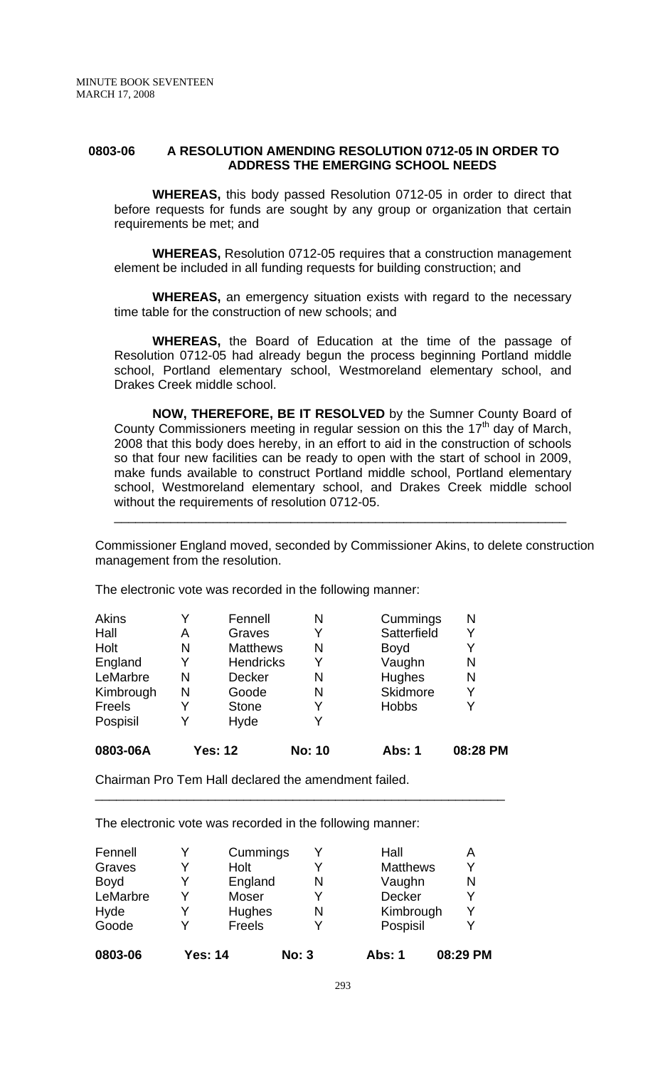#### **0803-06 A RESOLUTION AMENDING RESOLUTION 0712-05 IN ORDER TO ADDRESS THE EMERGING SCHOOL NEEDS**

 **WHEREAS,** this body passed Resolution 0712-05 in order to direct that before requests for funds are sought by any group or organization that certain requirements be met; and

**WHEREAS,** Resolution 0712-05 requires that a construction management element be included in all funding requests for building construction; and

**WHEREAS,** an emergency situation exists with regard to the necessary time table for the construction of new schools; and

**WHEREAS,** the Board of Education at the time of the passage of Resolution 0712-05 had already begun the process beginning Portland middle school, Portland elementary school, Westmoreland elementary school, and Drakes Creek middle school.

 **NOW, THEREFORE, BE IT RESOLVED** by the Sumner County Board of County Commissioners meeting in regular session on this the  $17<sup>th</sup>$  day of March, 2008 that this body does hereby, in an effort to aid in the construction of schools so that four new facilities can be ready to open with the start of school in 2009, make funds available to construct Portland middle school, Portland elementary school, Westmoreland elementary school, and Drakes Creek middle school without the requirements of resolution 0712-05.

Commissioner England moved, seconded by Commissioner Akins, to delete construction management from the resolution.

\_\_\_\_\_\_\_\_\_\_\_\_\_\_\_\_\_\_\_\_\_\_\_\_\_\_\_\_\_\_\_\_\_\_\_\_\_\_\_\_\_\_\_\_\_\_\_\_\_\_\_\_\_\_\_\_\_\_\_\_\_\_\_\_

The electronic vote was recorded in the following manner:

| 0803-06A     |   | <b>Yes: 12</b>   | <b>No: 10</b> | Abs: 1       | 08:28 PM |
|--------------|---|------------------|---------------|--------------|----------|
| Pospisil     | Y | Hyde             | Y             |              |          |
| Freels       | Y | <b>Stone</b>     | Y             | <b>Hobbs</b> | Y        |
| Kimbrough    | N | Goode            | N             | Skidmore     | Y        |
| LeMarbre     | N | Decker           | Ν             | Hughes       | N        |
| England      | Y | <b>Hendricks</b> | Y             | Vaughn       | N        |
| Holt         | N | <b>Matthews</b>  | N             | <b>Boyd</b>  | Y        |
| Hall         | Α | Graves           | Y             | Satterfield  | Y        |
| <b>Akins</b> | Y | Fennell          | N             | Cummings     | N        |

\_\_\_\_\_\_\_\_\_\_\_\_\_\_\_\_\_\_\_\_\_\_\_\_\_\_\_\_\_\_\_\_\_\_\_\_\_\_\_\_\_\_\_\_\_\_\_\_\_\_\_\_\_\_\_\_\_\_

Chairman Pro Tem Hall declared the amendment failed.

The electronic vote was recorded in the following manner:

| 0803-06     | <b>Yes: 14</b> |          | <b>No: 3</b> | <b>Abs: 1</b>   | 08:29 PM |
|-------------|----------------|----------|--------------|-----------------|----------|
| Goode       |                | Freels   |              | Pospisil        | v        |
| Hyde        | Y              | Hughes   | N            | Kimbrough       | Υ        |
| LeMarbre    | V              | Moser    | V            | Decker          | Υ        |
| <b>Boyd</b> | Y              | England  | N            | Vaughn          | N        |
| Graves      | v              | Holt     |              | <b>Matthews</b> | Υ        |
| Fennell     | v              | Cummings |              | Hall            | А        |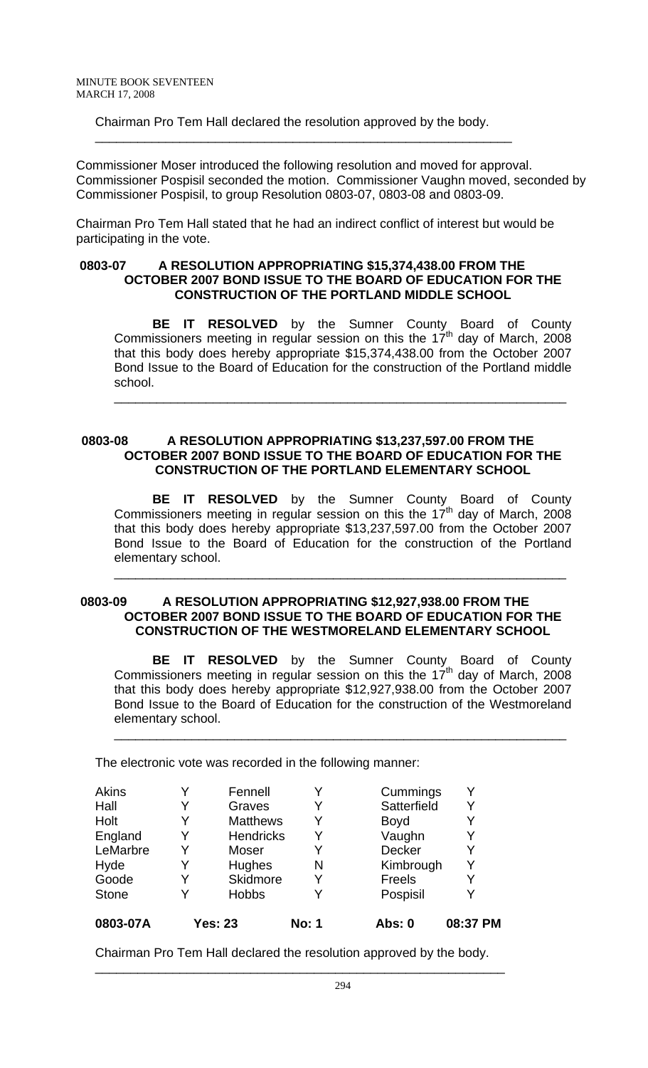Chairman Pro Tem Hall declared the resolution approved by the body.

\_\_\_\_\_\_\_\_\_\_\_\_\_\_\_\_\_\_\_\_\_\_\_\_\_\_\_\_\_\_\_\_\_\_\_\_\_\_\_\_\_\_\_\_\_\_\_\_\_\_\_\_\_\_\_\_\_\_\_

Commissioner Moser introduced the following resolution and moved for approval. Commissioner Pospisil seconded the motion. Commissioner Vaughn moved, seconded by Commissioner Pospisil, to group Resolution 0803-07, 0803-08 and 0803-09.

Chairman Pro Tem Hall stated that he had an indirect conflict of interest but would be participating in the vote.

## **0803-07 A RESOLUTION APPROPRIATING \$15,374,438.00 FROM THE OCTOBER 2007 BOND ISSUE TO THE BOARD OF EDUCATION FOR THE CONSTRUCTION OF THE PORTLAND MIDDLE SCHOOL**

 **BE IT RESOLVED** by the Sumner County Board of County Commissioners meeting in regular session on this the  $17<sup>th</sup>$  day of March, 2008 that this body does hereby appropriate \$15,374,438.00 from the October 2007 Bond Issue to the Board of Education for the construction of the Portland middle school.

\_\_\_\_\_\_\_\_\_\_\_\_\_\_\_\_\_\_\_\_\_\_\_\_\_\_\_\_\_\_\_\_\_\_\_\_\_\_\_\_\_\_\_\_\_\_\_\_\_\_\_\_\_\_\_\_\_\_\_\_\_\_\_\_

#### 0803-08 A RESOLUTION APPROPRIATING \$13,237,597.00 FROM THE **OCTOBER 2007 BOND ISSUE TO THE BOARD OF EDUCATION FOR THE CONSTRUCTION OF THE PORTLAND ELEMENTARY SCHOOL**

 **BE IT RESOLVED** by the Sumner County Board of County Commissioners meeting in regular session on this the  $17<sup>th</sup>$  day of March, 2008 that this body does hereby appropriate \$13,237,597.00 from the October 2007 Bond Issue to the Board of Education for the construction of the Portland elementary school.

\_\_\_\_\_\_\_\_\_\_\_\_\_\_\_\_\_\_\_\_\_\_\_\_\_\_\_\_\_\_\_\_\_\_\_\_\_\_\_\_\_\_\_\_\_\_\_\_\_\_\_\_\_\_\_\_\_\_\_\_\_\_\_\_

# **0803-09 A RESOLUTION APPROPRIATING \$12,927,938.00 FROM THE OCTOBER 2007 BOND ISSUE TO THE BOARD OF EDUCATION FOR THE CONSTRUCTION OF THE WESTMORELAND ELEMENTARY SCHOOL**

 **BE IT RESOLVED** by the Sumner County Board of County Commissioners meeting in regular session on this the  $17<sup>th</sup>$  day of March, 2008 that this body does hereby appropriate \$12,927,938.00 from the October 2007 Bond Issue to the Board of Education for the construction of the Westmoreland elementary school.

\_\_\_\_\_\_\_\_\_\_\_\_\_\_\_\_\_\_\_\_\_\_\_\_\_\_\_\_\_\_\_\_\_\_\_\_\_\_\_\_\_\_\_\_\_\_\_\_\_\_\_\_\_\_\_\_\_\_\_\_\_\_\_\_

The electronic vote was recorded in the following manner:

| 0803-07A     |   | <b>Yes: 23</b>   | <b>No: 1</b> | Abs: 0      | 08:37 PM |
|--------------|---|------------------|--------------|-------------|----------|
| <b>Stone</b> | Y | <b>Hobbs</b>     |              | Pospisil    |          |
| Goode        | Y | Skidmore         |              | Freels      |          |
| Hyde         | Y | Hughes           | N            | Kimbrough   | Y        |
| LeMarbre     | Y | Moser            |              | Decker      |          |
| England      | Y | <b>Hendricks</b> |              | Vaughn      |          |
| Holt         | Y | <b>Matthews</b>  | Y            | <b>Boyd</b> |          |
| Hall         | Y | Graves           |              | Satterfield | Y        |
| Akins        |   | Fennell          |              | Cummings    |          |

Chairman Pro Tem Hall declared the resolution approved by the body.

\_\_\_\_\_\_\_\_\_\_\_\_\_\_\_\_\_\_\_\_\_\_\_\_\_\_\_\_\_\_\_\_\_\_\_\_\_\_\_\_\_\_\_\_\_\_\_\_\_\_\_\_\_\_\_\_\_\_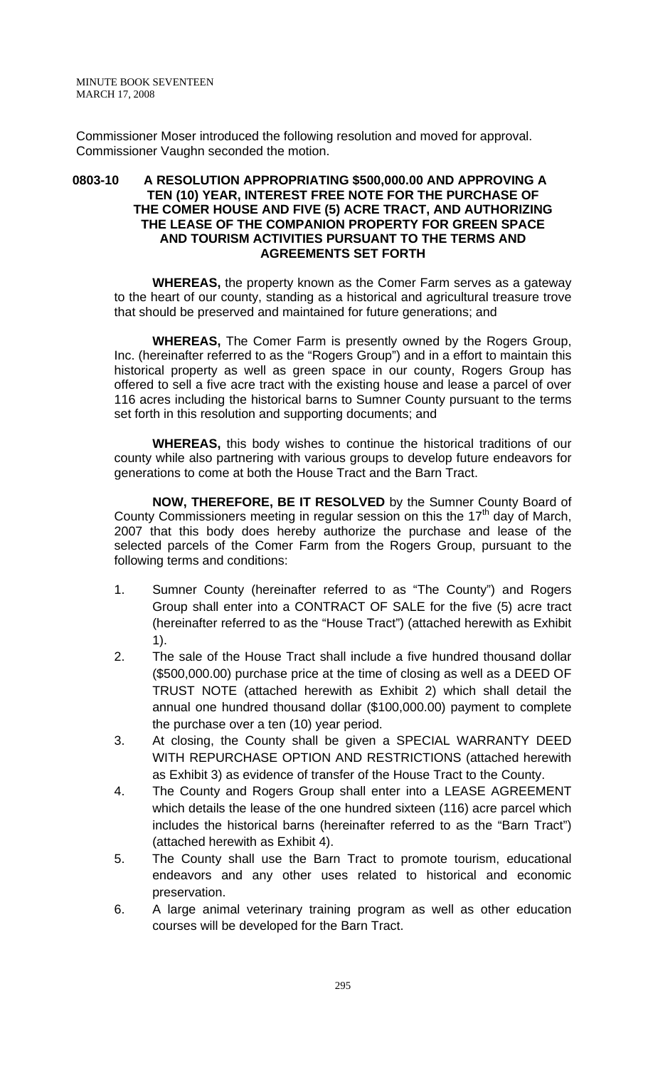Commissioner Moser introduced the following resolution and moved for approval. Commissioner Vaughn seconded the motion.

### **0803-10 A RESOLUTION APPROPRIATING \$500,000.00 AND APPROVING A TEN (10) YEAR, INTEREST FREE NOTE FOR THE PURCHASE OF THE COMER HOUSE AND FIVE (5) ACRE TRACT, AND AUTHORIZING THE LEASE OF THE COMPANION PROPERTY FOR GREEN SPACE AND TOURISM ACTIVITIES PURSUANT TO THE TERMS AND AGREEMENTS SET FORTH**

**WHEREAS,** the property known as the Comer Farm serves as a gateway to the heart of our county, standing as a historical and agricultural treasure trove that should be preserved and maintained for future generations; and

**WHEREAS,** The Comer Farm is presently owned by the Rogers Group, Inc. (hereinafter referred to as the "Rogers Group") and in a effort to maintain this historical property as well as green space in our county, Rogers Group has offered to sell a five acre tract with the existing house and lease a parcel of over 116 acres including the historical barns to Sumner County pursuant to the terms set forth in this resolution and supporting documents; and

**WHEREAS,** this body wishes to continue the historical traditions of our county while also partnering with various groups to develop future endeavors for generations to come at both the House Tract and the Barn Tract.

**NOW, THEREFORE, BE IT RESOLVED** by the Sumner County Board of County Commissioners meeting in regular session on this the  $17<sup>th</sup>$  day of March, 2007 that this body does hereby authorize the purchase and lease of the selected parcels of the Comer Farm from the Rogers Group, pursuant to the following terms and conditions:

- 1. Sumner County (hereinafter referred to as "The County") and Rogers Group shall enter into a CONTRACT OF SALE for the five (5) acre tract (hereinafter referred to as the "House Tract") (attached herewith as Exhibit 1).
- 2. The sale of the House Tract shall include a five hundred thousand dollar (\$500,000.00) purchase price at the time of closing as well as a DEED OF TRUST NOTE (attached herewith as Exhibit 2) which shall detail the annual one hundred thousand dollar (\$100,000.00) payment to complete the purchase over a ten (10) year period.
- 3. At closing, the County shall be given a SPECIAL WARRANTY DEED WITH REPURCHASE OPTION AND RESTRICTIONS (attached herewith as Exhibit 3) as evidence of transfer of the House Tract to the County.
- 4. The County and Rogers Group shall enter into a LEASE AGREEMENT which details the lease of the one hundred sixteen (116) acre parcel which includes the historical barns (hereinafter referred to as the "Barn Tract") (attached herewith as Exhibit 4).
- 5. The County shall use the Barn Tract to promote tourism, educational endeavors and any other uses related to historical and economic preservation.
- 6. A large animal veterinary training program as well as other education courses will be developed for the Barn Tract.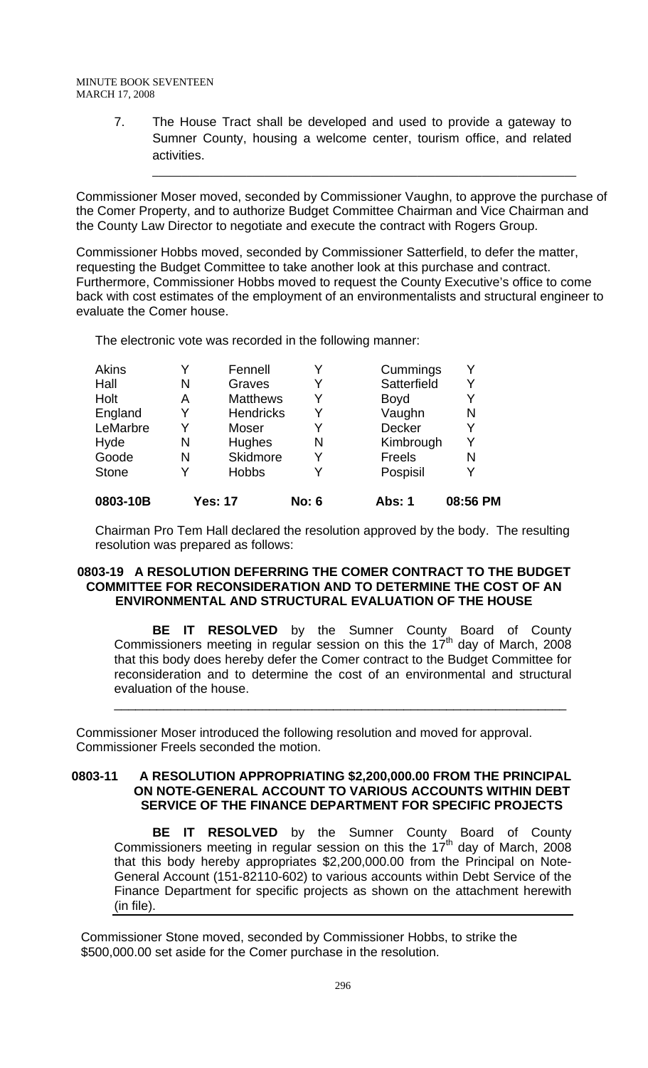7. The House Tract shall be developed and used to provide a gateway to Sumner County, housing a welcome center, tourism office, and related activities.

Commissioner Moser moved, seconded by Commissioner Vaughn, to approve the purchase of the Comer Property, and to authorize Budget Committee Chairman and Vice Chairman and the County Law Director to negotiate and execute the contract with Rogers Group.

 $\mathcal{L} = \{ \mathcal{L} = \{ \mathcal{L} = \mathcal{L} \} \cup \{ \mathcal{L} = \{ \mathcal{L} = \mathcal{L} \} \cup \{ \mathcal{L} = \{ \mathcal{L} = \mathcal{L} \} \cup \{ \mathcal{L} = \{ \mathcal{L} = \mathcal{L} \} \cup \{ \mathcal{L} = \{ \mathcal{L} = \mathcal{L} \} \cup \{ \mathcal{L} = \{ \mathcal{L} = \mathcal{L} \} \cup \{ \mathcal{L} = \{ \mathcal{L} = \mathcal{L} \} \cup \{ \mathcal{L} = \{ \mathcal{L}$ 

Commissioner Hobbs moved, seconded by Commissioner Satterfield, to defer the matter, requesting the Budget Committee to take another look at this purchase and contract. Furthermore, Commissioner Hobbs moved to request the County Executive's office to come back with cost estimates of the employment of an environmentalists and structural engineer to evaluate the Comer house.

The electronic vote was recorded in the following manner:

| 0803-10B     |   | <b>Yes: 17</b>   | <b>No: 6</b> | Abs: 1        | 08:56 PM     |
|--------------|---|------------------|--------------|---------------|--------------|
| <b>Stone</b> | Y | <b>Hobbs</b>     |              | Pospisil      | V            |
| Goode        | N | Skidmore         |              | <b>Freels</b> | N            |
| Hyde         | N | Hughes           | N            | Kimbrough     | Y            |
| LeMarbre     | Y | Moser            | Y            | Decker        | Y            |
| England      | Y | <b>Hendricks</b> | Y            | Vaughn        | N            |
| Holt         | Α | <b>Matthews</b>  |              | <b>Boyd</b>   |              |
| Hall         | Ν | Graves           |              | Satterfield   | Y            |
| Akins        | v | Fennell          |              | Cummings      | $\checkmark$ |

Chairman Pro Tem Hall declared the resolution approved by the body. The resulting resolution was prepared as follows:

#### **0803-19 A RESOLUTION DEFERRING THE COMER CONTRACT TO THE BUDGET COMMITTEE FOR RECONSIDERATION AND TO DETERMINE THE COST OF AN ENVIRONMENTAL AND STRUCTURAL EVALUATION OF THE HOUSE**

 **BE IT RESOLVED** by the Sumner County Board of County Commissioners meeting in regular session on this the  $17<sup>th</sup>$  day of March, 2008 that this body does hereby defer the Comer contract to the Budget Committee for reconsideration and to determine the cost of an environmental and structural evaluation of the house.

\_\_\_\_\_\_\_\_\_\_\_\_\_\_\_\_\_\_\_\_\_\_\_\_\_\_\_\_\_\_\_\_\_\_\_\_\_\_\_\_\_\_\_\_\_\_\_\_\_\_\_\_\_\_\_\_\_\_\_\_\_\_\_\_

Commissioner Moser introduced the following resolution and moved for approval. Commissioner Freels seconded the motion.

#### **0803-11 A RESOLUTION APPROPRIATING \$2,200,000.00 FROM THE PRINCIPAL ON NOTE-GENERAL ACCOUNT TO VARIOUS ACCOUNTS WITHIN DEBT SERVICE OF THE FINANCE DEPARTMENT FOR SPECIFIC PROJECTS**

**BE IT RESOLVED** by the Sumner County Board of County Commissioners meeting in regular session on this the  $17<sup>th</sup>$  day of March, 2008 that this body hereby appropriates \$2,200,000.00 from the Principal on Note-General Account (151-82110-602) to various accounts within Debt Service of the Finance Department for specific projects as shown on the attachment herewith (in file).

Commissioner Stone moved, seconded by Commissioner Hobbs, to strike the \$500,000.00 set aside for the Comer purchase in the resolution.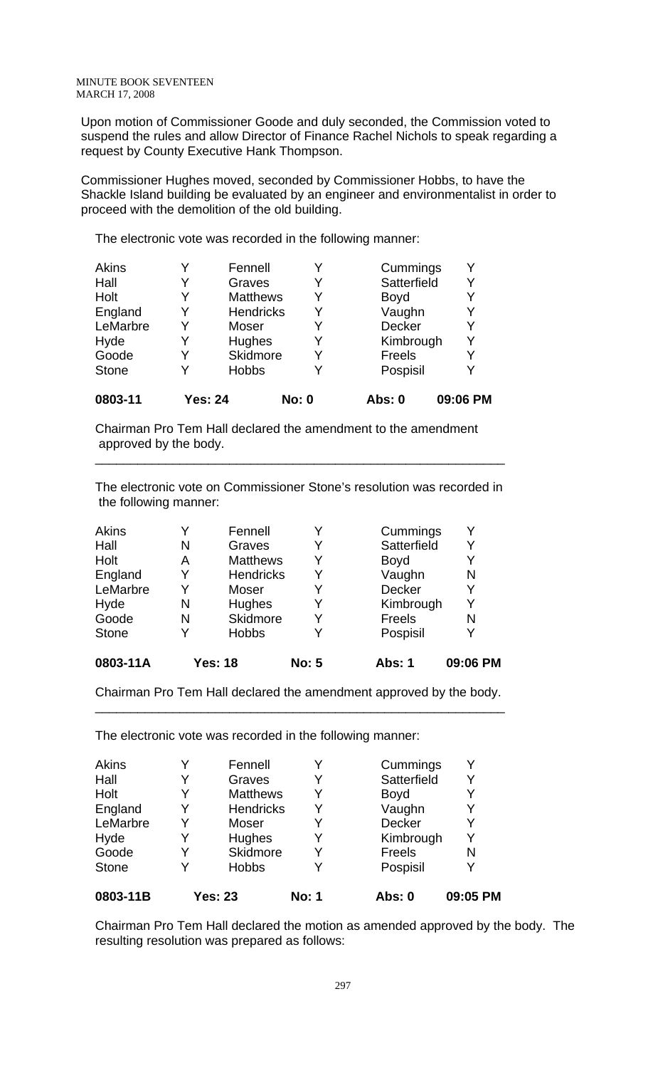Upon motion of Commissioner Goode and duly seconded, the Commission voted to suspend the rules and allow Director of Finance Rachel Nichols to speak regarding a request by County Executive Hank Thompson.

Commissioner Hughes moved, seconded by Commissioner Hobbs, to have the Shackle Island building be evaluated by an engineer and environmentalist in order to proceed with the demolition of the old building.

The electronic vote was recorded in the following manner:

| <b>Akins</b> |                | Fennell         | Y            | Cummings      |          |
|--------------|----------------|-----------------|--------------|---------------|----------|
| Hall         |                | Graves          | Y            | Satterfield   | Y        |
| Holt         |                | <b>Matthews</b> | Y            | <b>Boyd</b>   |          |
| England      | Y              | Hendricks       | Y            | Vaughn        | Y        |
| LeMarbre     | Y              | Moser           | Y            | <b>Decker</b> | Y        |
| Hyde         |                | Hughes          | Y            | Kimbrough     | Y        |
| Goode        |                | Skidmore        | Y            | Freels        | Y        |
| <b>Stone</b> |                | <b>Hobbs</b>    | Y            | Pospisil      |          |
| 0803-11      | <b>Yes: 24</b> |                 | <b>No: 0</b> | Abs: 0        | 09:06 PM |

Chairman Pro Tem Hall declared the amendment to the amendment approved by the body.

The electronic vote on Commissioner Stone's resolution was recorded in the following manner:

\_\_\_\_\_\_\_\_\_\_\_\_\_\_\_\_\_\_\_\_\_\_\_\_\_\_\_\_\_\_\_\_\_\_\_\_\_\_\_\_\_\_\_\_\_\_\_\_\_\_\_\_\_\_\_\_\_\_

| 0803-11A     |   | Yes: 18          | <b>No: 5</b> | <b>Abs: 1</b> | 09:06 PM |
|--------------|---|------------------|--------------|---------------|----------|
| <b>Stone</b> | Y | <b>Hobbs</b>     |              | Pospisil      |          |
| Goode        | N | Skidmore         | Y            | Freels        | N        |
| Hyde         | N | Hughes           | Y            | Kimbrough     | Y        |
| LeMarbre     | Y | Moser            |              | <b>Decker</b> |          |
| England      | Y | <b>Hendricks</b> | Y            | Vaughn        | N        |
| Holt         | Α | <b>Matthews</b>  | Y            | <b>Boyd</b>   |          |
| Hall         | N | Graves           | Y            | Satterfield   | Y        |
| <b>Akins</b> |   | Fennell          |              | Cummings      | Y        |

Chairman Pro Tem Hall declared the amendment approved by the body. \_\_\_\_\_\_\_\_\_\_\_\_\_\_\_\_\_\_\_\_\_\_\_\_\_\_\_\_\_\_\_\_\_\_\_\_\_\_\_\_\_\_\_\_\_\_\_\_\_\_\_\_\_\_\_\_\_\_

The electronic vote was recorded in the following manner:

| 0803-11B     |   | <b>Yes: 23</b>   | <b>No: 1</b> | <b>Abs: 0</b> | 09:05 PM |
|--------------|---|------------------|--------------|---------------|----------|
| <b>Stone</b> | Y | <b>Hobbs</b>     |              | Pospisil      |          |
| Goode        | Y | Skidmore         |              | Freels        | N        |
| Hyde         | Y | Hughes           | Y            | Kimbrough     |          |
| LeMarbre     | Y | Moser            |              | <b>Decker</b> |          |
| England      | Y | <b>Hendricks</b> | Y            | Vaughn        |          |
| Holt         | Y | <b>Matthews</b>  | Y            | <b>Boyd</b>   |          |
| Hall         | Y | Graves           | Y            | Satterfield   |          |
| Akins        |   | Fennell          |              | Cummings      |          |

Chairman Pro Tem Hall declared the motion as amended approved by the body. The resulting resolution was prepared as follows: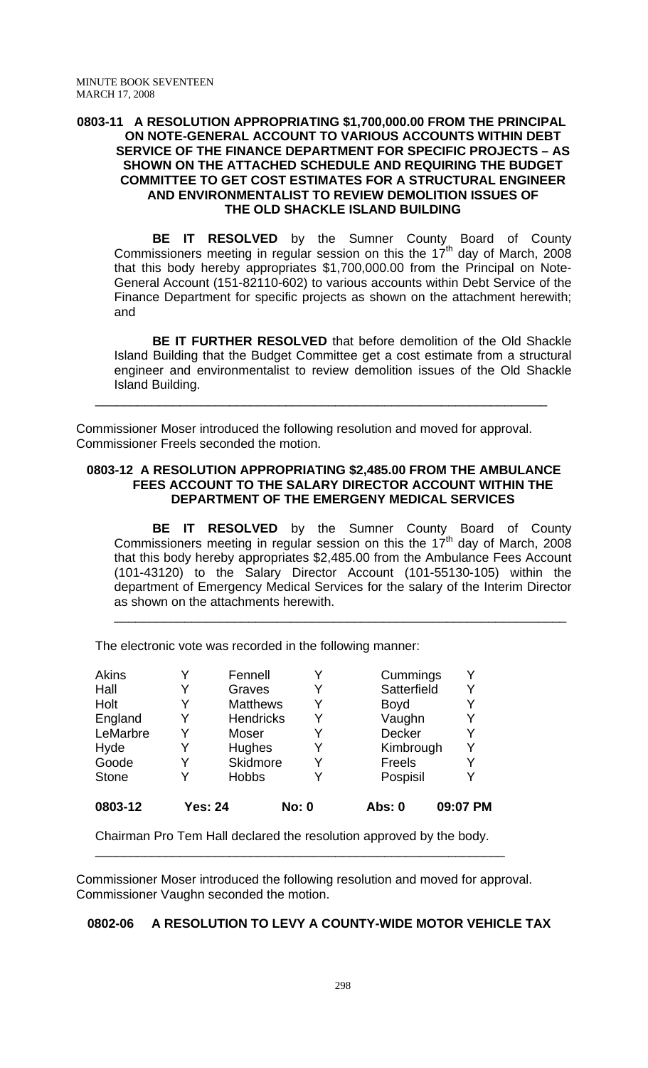#### **0803-11 A RESOLUTION APPROPRIATING \$1,700,000.00 FROM THE PRINCIPAL ON NOTE-GENERAL ACCOUNT TO VARIOUS ACCOUNTS WITHIN DEBT SERVICE OF THE FINANCE DEPARTMENT FOR SPECIFIC PROJECTS – AS SHOWN ON THE ATTACHED SCHEDULE AND REQUIRING THE BUDGET COMMITTEE TO GET COST ESTIMATES FOR A STRUCTURAL ENGINEER AND ENVIRONMENTALIST TO REVIEW DEMOLITION ISSUES OF THE OLD SHACKLE ISLAND BUILDING**

 **BE IT RESOLVED** by the Sumner County Board of County Commissioners meeting in regular session on this the  $17<sup>th</sup>$  day of March, 2008 that this body hereby appropriates \$1,700,000.00 from the Principal on Note-General Account (151-82110-602) to various accounts within Debt Service of the Finance Department for specific projects as shown on the attachment herewith; and

**BE IT FURTHER RESOLVED** that before demolition of the Old Shackle Island Building that the Budget Committee get a cost estimate from a structural engineer and environmentalist to review demolition issues of the Old Shackle Island Building.

Commissioner Moser introduced the following resolution and moved for approval. Commissioner Freels seconded the motion.

## **0803-12 A RESOLUTION APPROPRIATING \$2,485.00 FROM THE AMBULANCE FEES ACCOUNT TO THE SALARY DIRECTOR ACCOUNT WITHIN THE DEPARTMENT OF THE EMERGENY MEDICAL SERVICES**

\_\_\_\_\_\_\_\_\_\_\_\_\_\_\_\_\_\_\_\_\_\_\_\_\_\_\_\_\_\_\_\_\_\_\_\_\_\_\_\_\_\_\_\_\_\_\_\_\_\_\_\_\_\_\_\_\_\_\_\_\_\_\_\_

**BE IT RESOLVED** by the Sumner County Board of County Commissioners meeting in regular session on this the  $17<sup>th</sup>$  day of March, 2008 that this body hereby appropriates \$2,485.00 from the Ambulance Fees Account (101-43120) to the Salary Director Account (101-55130-105) within the department of Emergency Medical Services for the salary of the Interim Director as shown on the attachments herewith.

\_\_\_\_\_\_\_\_\_\_\_\_\_\_\_\_\_\_\_\_\_\_\_\_\_\_\_\_\_\_\_\_\_\_\_\_\_\_\_\_\_\_\_\_\_\_\_\_\_\_\_\_\_\_\_\_\_\_\_\_\_\_\_\_

The electronic vote was recorded in the following manner:

| 0803-12      | <b>Yes: 24</b> |                 | <b>No: 0</b> | Abs: 0        | 09:07 PM |
|--------------|----------------|-----------------|--------------|---------------|----------|
| <b>Stone</b> |                | <b>Hobbs</b>    | Y            | Pospisil      |          |
| Goode        |                | Skidmore        | Y            | Freels        |          |
| Hyde         | Y              | Hughes          | Y            | Kimbrough     | Y        |
| LeMarbre     | Y              | Moser           | Y            | <b>Decker</b> |          |
| England      | Y              | Hendricks       | Y            | Vaughn        |          |
| Holt         |                | <b>Matthews</b> | Y            | <b>Boyd</b>   |          |
| Hall         |                | Graves          | Y            | Satterfield   |          |
| Akins        |                | Fennell         | Y            | Cummings      |          |

Chairman Pro Tem Hall declared the resolution approved by the body.

Commissioner Moser introduced the following resolution and moved for approval. Commissioner Vaughn seconded the motion.

\_\_\_\_\_\_\_\_\_\_\_\_\_\_\_\_\_\_\_\_\_\_\_\_\_\_\_\_\_\_\_\_\_\_\_\_\_\_\_\_\_\_\_\_\_\_\_\_\_\_\_\_\_\_\_\_\_\_

# **0802-06 A RESOLUTION TO LEVY A COUNTY-WIDE MOTOR VEHICLE TAX**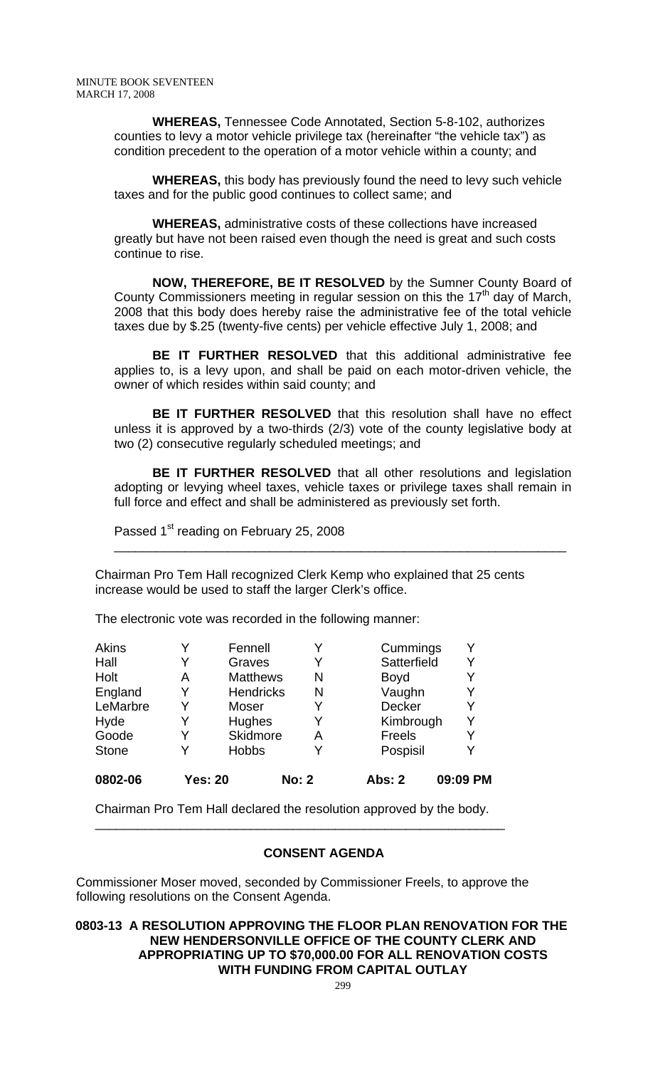**WHEREAS,** Tennessee Code Annotated, Section 5-8-102, authorizes counties to levy a motor vehicle privilege tax (hereinafter "the vehicle tax") as condition precedent to the operation of a motor vehicle within a county; and

**WHEREAS,** this body has previously found the need to levy such vehicle taxes and for the public good continues to collect same; and

**WHEREAS,** administrative costs of these collections have increased greatly but have not been raised even though the need is great and such costs continue to rise.

 **NOW, THEREFORE, BE IT RESOLVED** by the Sumner County Board of County Commissioners meeting in regular session on this the  $17<sup>th</sup>$  day of March, 2008 that this body does hereby raise the administrative fee of the total vehicle taxes due by \$.25 (twenty-five cents) per vehicle effective July 1, 2008; and

**BE IT FURTHER RESOLVED** that this additional administrative fee applies to, is a levy upon, and shall be paid on each motor-driven vehicle, the owner of which resides within said county; and

**BE IT FURTHER RESOLVED** that this resolution shall have no effect unless it is approved by a two-thirds (2/3) vote of the county legislative body at two (2) consecutive regularly scheduled meetings; and

**BE IT FURTHER RESOLVED** that all other resolutions and legislation adopting or levying wheel taxes, vehicle taxes or privilege taxes shall remain in full force and effect and shall be administered as previously set forth.

\_\_\_\_\_\_\_\_\_\_\_\_\_\_\_\_\_\_\_\_\_\_\_\_\_\_\_\_\_\_\_\_\_\_\_\_\_\_\_\_\_\_\_\_\_\_\_\_\_\_\_\_\_\_\_\_\_\_\_\_\_\_\_\_

Passed 1<sup>st</sup> reading on February 25, 2008

Chairman Pro Tem Hall recognized Clerk Kemp who explained that 25 cents increase would be used to staff the larger Clerk's office.

The electronic vote was recorded in the following manner:

| <b>Akins</b> |                | Fennell          | Y            | Cummings      |          |
|--------------|----------------|------------------|--------------|---------------|----------|
| Hall         | Y              | Graves           | Y            | Satterfield   | Y        |
| Holt         | A              | <b>Matthews</b>  | N            | <b>Boyd</b>   |          |
| England      | Y              | <b>Hendricks</b> | N            | Vaughn        | Y        |
| LeMarbre     | Y              | Moser            | Y            | <b>Decker</b> |          |
| Hyde         |                | <b>Hughes</b>    | Y            | Kimbrough     |          |
| Goode        | Y              | Skidmore         | Α            | Freels        |          |
| <b>Stone</b> |                | <b>Hobbs</b>     | Y            | Pospisil      |          |
| 0802-06      | <b>Yes: 20</b> |                  | <b>No: 2</b> | <b>Abs: 2</b> | 09:09 PM |

Chairman Pro Tem Hall declared the resolution approved by the body.

\_\_\_\_\_\_\_\_\_\_\_\_\_\_\_\_\_\_\_\_\_\_\_\_\_\_\_\_\_\_\_\_\_\_\_\_\_\_\_\_\_\_\_\_\_\_\_\_\_\_\_\_\_\_\_\_\_\_

# **CONSENT AGENDA**

Commissioner Moser moved, seconded by Commissioner Freels, to approve the following resolutions on the Consent Agenda.

**0803-13 A RESOLUTION APPROVING THE FLOOR PLAN RENOVATION FOR THE NEW HENDERSONVILLE OFFICE OF THE COUNTY CLERK AND APPROPRIATING UP TO \$70,000.00 FOR ALL RENOVATION COSTS WITH FUNDING FROM CAPITAL OUTLAY**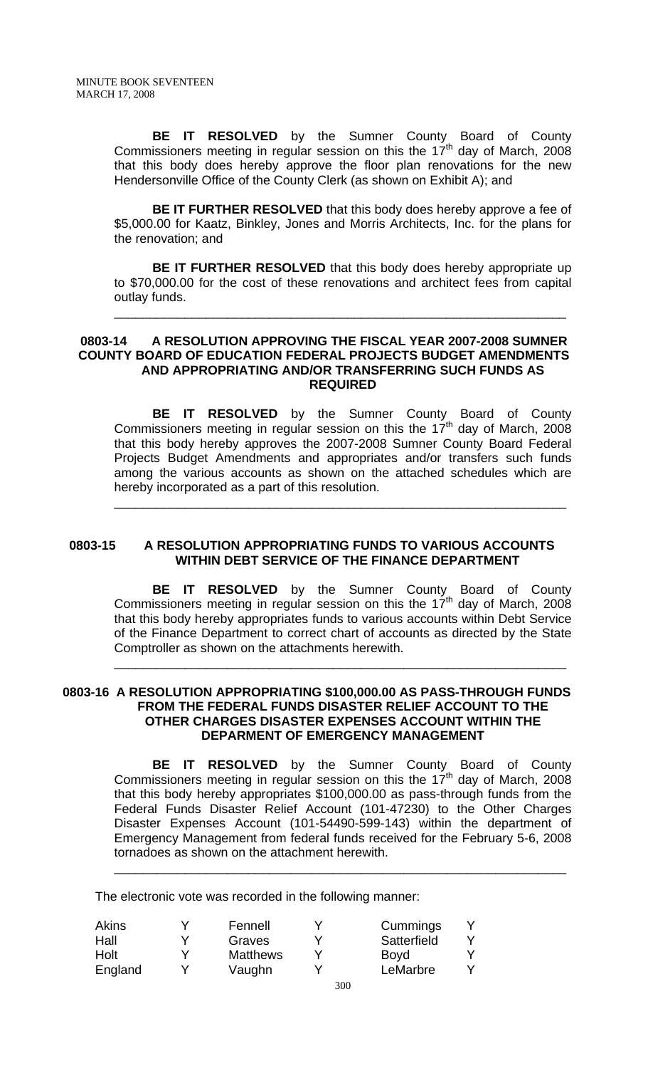**BE IT RESOLVED** by the Sumner County Board of County Commissioners meeting in regular session on this the  $17<sup>th</sup>$  day of March, 2008 that this body does hereby approve the floor plan renovations for the new Hendersonville Office of the County Clerk (as shown on Exhibit A); and

**BE IT FURTHER RESOLVED** that this body does hereby approve a fee of \$5,000.00 for Kaatz, Binkley, Jones and Morris Architects, Inc. for the plans for the renovation; and

**BE IT FURTHER RESOLVED** that this body does hereby appropriate up to \$70,000.00 for the cost of these renovations and architect fees from capital outlay funds.

\_\_\_\_\_\_\_\_\_\_\_\_\_\_\_\_\_\_\_\_\_\_\_\_\_\_\_\_\_\_\_\_\_\_\_\_\_\_\_\_\_\_\_\_\_\_\_\_\_\_\_\_\_\_\_\_\_\_\_\_\_\_\_\_

#### **0803-14 A RESOLUTION APPROVING THE FISCAL YEAR 2007-2008 SUMNER COUNTY BOARD OF EDUCATION FEDERAL PROJECTS BUDGET AMENDMENTS AND APPROPRIATING AND/OR TRANSFERRING SUCH FUNDS AS REQUIRED**

 **BE IT RESOLVED** by the Sumner County Board of County Commissioners meeting in regular session on this the  $17<sup>th</sup>$  day of March, 2008 that this body hereby approves the 2007-2008 Sumner County Board Federal Projects Budget Amendments and appropriates and/or transfers such funds among the various accounts as shown on the attached schedules which are hereby incorporated as a part of this resolution.

\_\_\_\_\_\_\_\_\_\_\_\_\_\_\_\_\_\_\_\_\_\_\_\_\_\_\_\_\_\_\_\_\_\_\_\_\_\_\_\_\_\_\_\_\_\_\_\_\_\_\_\_\_\_\_\_\_\_\_\_\_\_\_\_

#### **0803-15 A RESOLUTION APPROPRIATING FUNDS TO VARIOUS ACCOUNTS WITHIN DEBT SERVICE OF THE FINANCE DEPARTMENT**

 **BE IT RESOLVED** by the Sumner County Board of County Commissioners meeting in regular session on this the 17<sup>th</sup> day of March, 2008 that this body hereby appropriates funds to various accounts within Debt Service of the Finance Department to correct chart of accounts as directed by the State Comptroller as shown on the attachments herewith.

\_\_\_\_\_\_\_\_\_\_\_\_\_\_\_\_\_\_\_\_\_\_\_\_\_\_\_\_\_\_\_\_\_\_\_\_\_\_\_\_\_\_\_\_\_\_\_\_\_\_\_\_\_\_\_\_\_\_\_\_\_\_\_\_

## **0803-16 A RESOLUTION APPROPRIATING \$100,000.00 AS PASS-THROUGH FUNDS FROM THE FEDERAL FUNDS DISASTER RELIEF ACCOUNT TO THE OTHER CHARGES DISASTER EXPENSES ACCOUNT WITHIN THE DEPARMENT OF EMERGENCY MANAGEMENT**

 **BE IT RESOLVED** by the Sumner County Board of County Commissioners meeting in regular session on this the 17<sup>th</sup> day of March, 2008 that this body hereby appropriates \$100,000.00 as pass-through funds from the Federal Funds Disaster Relief Account (101-47230) to the Other Charges Disaster Expenses Account (101-54490-599-143) within the department of Emergency Management from federal funds received for the February 5-6, 2008 tornadoes as shown on the attachment herewith.

\_\_\_\_\_\_\_\_\_\_\_\_\_\_\_\_\_\_\_\_\_\_\_\_\_\_\_\_\_\_\_\_\_\_\_\_\_\_\_\_\_\_\_\_\_\_\_\_\_\_\_\_\_\_\_\_\_\_\_\_\_\_\_\_

The electronic vote was recorded in the following manner:

| Akins   | Fennell         |     | Cummings    |  |
|---------|-----------------|-----|-------------|--|
| Hall    | Graves          |     | Satterfield |  |
| Holt    | <b>Matthews</b> |     | <b>Boyd</b> |  |
| England | Vaughn          |     | LeMarbre    |  |
|         |                 | 200 |             |  |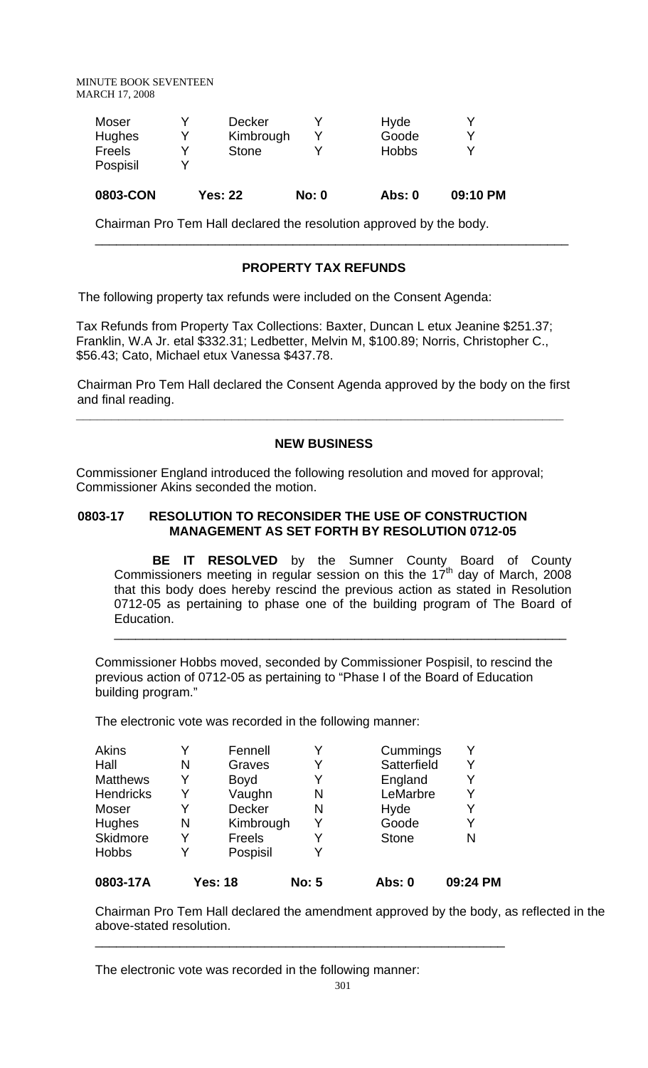| 0803-CON |   |               |              |  |
|----------|---|---------------|--------------|--|
| Pospisil |   |               |              |  |
| Freels   | v | <b>Stone</b>  | <b>Hobbs</b> |  |
| Hughes   | v | Kimbrough     | Goode        |  |
| Moser    |   | <b>Decker</b> | Hyde         |  |

Chairman Pro Tem Hall declared the resolution approved by the body.

# **PROPERTY TAX REFUNDS**

\_\_\_\_\_\_\_\_\_\_\_\_\_\_\_\_\_\_\_\_\_\_\_\_\_\_\_\_\_\_\_\_\_\_\_\_\_\_\_\_\_\_\_\_\_\_\_\_\_\_\_\_\_\_\_\_\_\_\_\_\_\_\_\_\_\_\_

The following property tax refunds were included on the Consent Agenda:

Tax Refunds from Property Tax Collections: Baxter, Duncan L etux Jeanine \$251.37; Franklin, W.A Jr. etal \$332.31; Ledbetter, Melvin M, \$100.89; Norris, Christopher C., \$56.43; Cato, Michael etux Vanessa \$437.78.

 Chairman Pro Tem Hall declared the Consent Agenda approved by the body on the first and final reading.

**\_\_\_\_\_\_\_\_\_\_\_\_\_\_\_\_\_\_\_\_\_\_\_\_\_\_\_\_\_\_\_\_\_\_\_\_\_\_\_\_\_\_\_\_\_\_\_\_\_\_\_\_\_\_\_\_\_\_\_\_\_\_\_\_\_\_\_\_\_** 

#### **NEW BUSINESS**

Commissioner England introduced the following resolution and moved for approval; Commissioner Akins seconded the motion.

### **0803-17 RESOLUTION TO RECONSIDER THE USE OF CONSTRUCTION MANAGEMENT AS SET FORTH BY RESOLUTION 0712-05**

 **BE IT RESOLVED** by the Sumner County Board of County Commissioners meeting in regular session on this the  $17<sup>th</sup>$  day of March, 2008 that this body does hereby rescind the previous action as stated in Resolution 0712-05 as pertaining to phase one of the building program of The Board of Education.

\_\_\_\_\_\_\_\_\_\_\_\_\_\_\_\_\_\_\_\_\_\_\_\_\_\_\_\_\_\_\_\_\_\_\_\_\_\_\_\_\_\_\_\_\_\_\_\_\_\_\_\_\_\_\_\_\_\_\_\_\_\_\_\_

Commissioner Hobbs moved, seconded by Commissioner Pospisil, to rescind the previous action of 0712-05 as pertaining to "Phase I of the Board of Education building program."

The electronic vote was recorded in the following manner:

| 0803-17A         |   | Yes: 18       | <b>No: 5</b> | Abs: 0       | 09:24 PM |
|------------------|---|---------------|--------------|--------------|----------|
| <b>Hobbs</b>     | Y | Pospisil      |              |              |          |
| Skidmore         | Y | Freels        |              | <b>Stone</b> | N        |
| Hughes           | N | Kimbrough     | Y            | Goode        | Y        |
| Moser            | Y | <b>Decker</b> | N            | Hyde         | Y        |
| <b>Hendricks</b> | Y | Vaughn        | N            | LeMarbre     | Y        |
| <b>Matthews</b>  | Y | <b>Boyd</b>   |              | England      | Y        |
| Hall             | N | Graves        |              | Satterfield  | Y        |
| Akins            |   | Fennell       |              | Cummings     |          |

\_\_\_\_\_\_\_\_\_\_\_\_\_\_\_\_\_\_\_\_\_\_\_\_\_\_\_\_\_\_\_\_\_\_\_\_\_\_\_\_\_\_\_\_\_\_\_\_\_\_\_\_\_\_\_\_\_\_

Chairman Pro Tem Hall declared the amendment approved by the body, as reflected in the above-stated resolution.

The electronic vote was recorded in the following manner: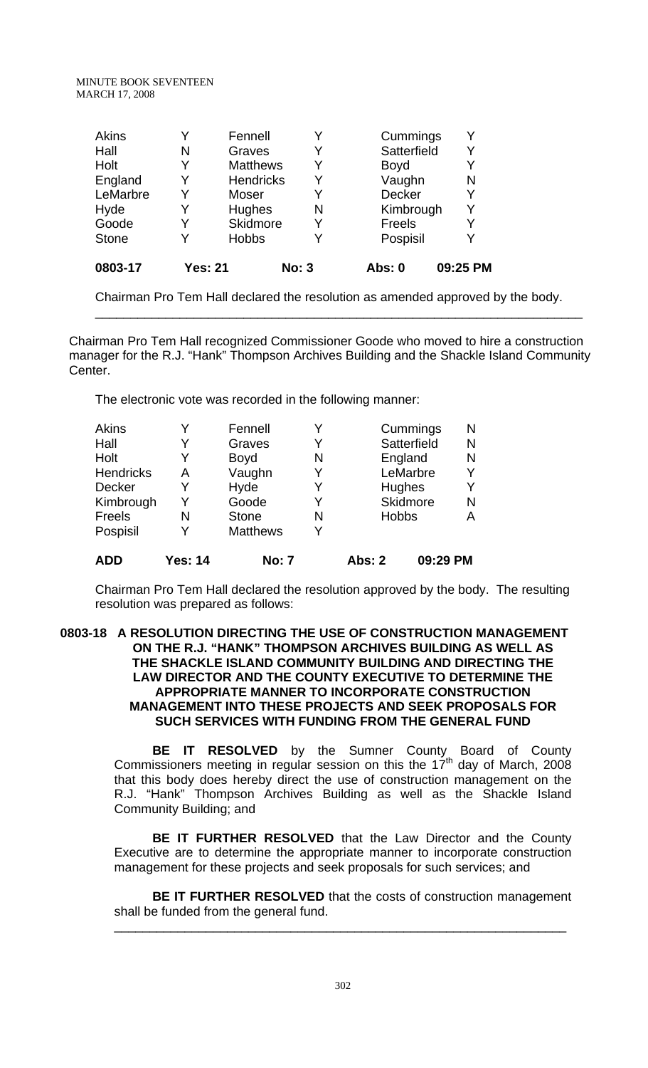| Akins        |                | Fennell          | Y            | Cummings      |          |
|--------------|----------------|------------------|--------------|---------------|----------|
| Hall         | N              | Graves           | Y            | Satterfield   | Y        |
| Holt         |                | <b>Matthews</b>  | Y            | <b>Boyd</b>   |          |
| England      |                | <b>Hendricks</b> | Y            | Vaughn        | N        |
| LeMarbre     |                | Moser            | Y            | <b>Decker</b> | Υ        |
| Hyde         |                | Hughes           | N            | Kimbrough     | Y        |
| Goode        |                | Skidmore         | Y            | Freels        |          |
| <b>Stone</b> |                | <b>Hobbs</b>     | Y            | Pospisil      | Y        |
| 0803-17      | <b>Yes: 21</b> |                  | <b>No: 3</b> | <b>Abs: 0</b> | 09:25 PM |

Chairman Pro Tem Hall declared the resolution as amended approved by the body.

\_\_\_\_\_\_\_\_\_\_\_\_\_\_\_\_\_\_\_\_\_\_\_\_\_\_\_\_\_\_\_\_\_\_\_\_\_\_\_\_\_\_\_\_\_\_\_\_\_\_\_\_\_\_\_\_\_\_\_\_\_\_\_\_\_\_\_\_\_

 Chairman Pro Tem Hall recognized Commissioner Goode who moved to hire a construction manager for the R.J. "Hank" Thompson Archives Building and the Shackle Island Community Center.

The electronic vote was recorded in the following manner:

| Akins            |         | Fennell         |   |              | Cummings        | N |
|------------------|---------|-----------------|---|--------------|-----------------|---|
| Hall             |         | Graves          |   |              | Satterfield     | N |
| Holt             | Y       | <b>Boyd</b>     | N |              | England         | N |
| <b>Hendricks</b> | Α       | Vaughn          |   |              | LeMarbre        | Y |
| <b>Decker</b>    |         | Hyde            |   | Hughes       |                 | Y |
| Kimbrough        | Y       | Goode           | Y |              | <b>Skidmore</b> | N |
| Freels           | N       | <b>Stone</b>    | N | <b>Hobbs</b> |                 | Α |
| Pospisil         |         | <b>Matthews</b> |   |              |                 |   |
| <b>ADD</b>       | Yes: 14 | <b>No: 7</b>    |   | Abs: 2       | 09:29 PM        |   |

Chairman Pro Tem Hall declared the resolution approved by the body. The resulting resolution was prepared as follows:

# **0803-18 A RESOLUTION DIRECTING THE USE OF CONSTRUCTION MANAGEMENT ON THE R.J. "HANK" THOMPSON ARCHIVES BUILDING AS WELL AS THE SHACKLE ISLAND COMMUNITY BUILDING AND DIRECTING THE LAW DIRECTOR AND THE COUNTY EXECUTIVE TO DETERMINE THE APPROPRIATE MANNER TO INCORPORATE CONSTRUCTION MANAGEMENT INTO THESE PROJECTS AND SEEK PROPOSALS FOR SUCH SERVICES WITH FUNDING FROM THE GENERAL FUND**

 **BE IT RESOLVED** by the Sumner County Board of County Commissioners meeting in regular session on this the  $17<sup>th</sup>$  day of March, 2008 that this body does hereby direct the use of construction management on the R.J. "Hank" Thompson Archives Building as well as the Shackle Island Community Building; and

**BE IT FURTHER RESOLVED** that the Law Director and the County Executive are to determine the appropriate manner to incorporate construction management for these projects and seek proposals for such services; and

**BE IT FURTHER RESOLVED** that the costs of construction management shall be funded from the general fund.

\_\_\_\_\_\_\_\_\_\_\_\_\_\_\_\_\_\_\_\_\_\_\_\_\_\_\_\_\_\_\_\_\_\_\_\_\_\_\_\_\_\_\_\_\_\_\_\_\_\_\_\_\_\_\_\_\_\_\_\_\_\_\_\_